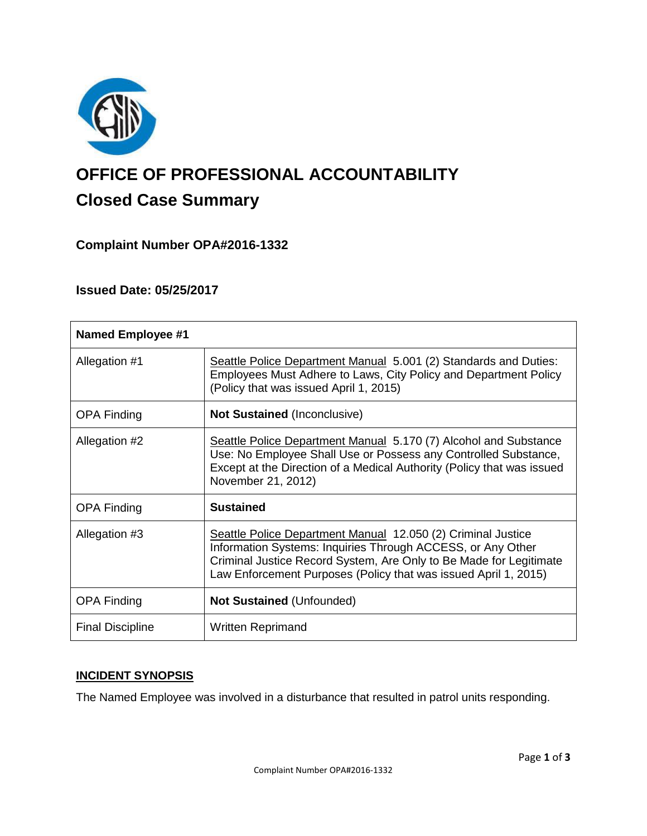

# **OFFICE OF PROFESSIONAL ACCOUNTABILITY Closed Case Summary**

## **Complaint Number OPA#2016-1332**

## **Issued Date: 05/25/2017**

| <b>Named Employee #1</b> |                                                                                                                                                                                                                                                                      |
|--------------------------|----------------------------------------------------------------------------------------------------------------------------------------------------------------------------------------------------------------------------------------------------------------------|
| Allegation #1            | Seattle Police Department Manual 5.001 (2) Standards and Duties:<br>Employees Must Adhere to Laws, City Policy and Department Policy<br>(Policy that was issued April 1, 2015)                                                                                       |
| <b>OPA Finding</b>       | <b>Not Sustained (Inconclusive)</b>                                                                                                                                                                                                                                  |
| Allegation #2            | Seattle Police Department Manual 5.170 (7) Alcohol and Substance<br>Use: No Employee Shall Use or Possess any Controlled Substance,<br>Except at the Direction of a Medical Authority (Policy that was issued<br>November 21, 2012)                                  |
| <b>OPA Finding</b>       | <b>Sustained</b>                                                                                                                                                                                                                                                     |
| Allegation #3            | Seattle Police Department Manual 12.050 (2) Criminal Justice<br>Information Systems: Inquiries Through ACCESS, or Any Other<br>Criminal Justice Record System, Are Only to Be Made for Legitimate<br>Law Enforcement Purposes (Policy that was issued April 1, 2015) |
| <b>OPA Finding</b>       | <b>Not Sustained (Unfounded)</b>                                                                                                                                                                                                                                     |
| <b>Final Discipline</b>  | <b>Written Reprimand</b>                                                                                                                                                                                                                                             |

## **INCIDENT SYNOPSIS**

The Named Employee was involved in a disturbance that resulted in patrol units responding.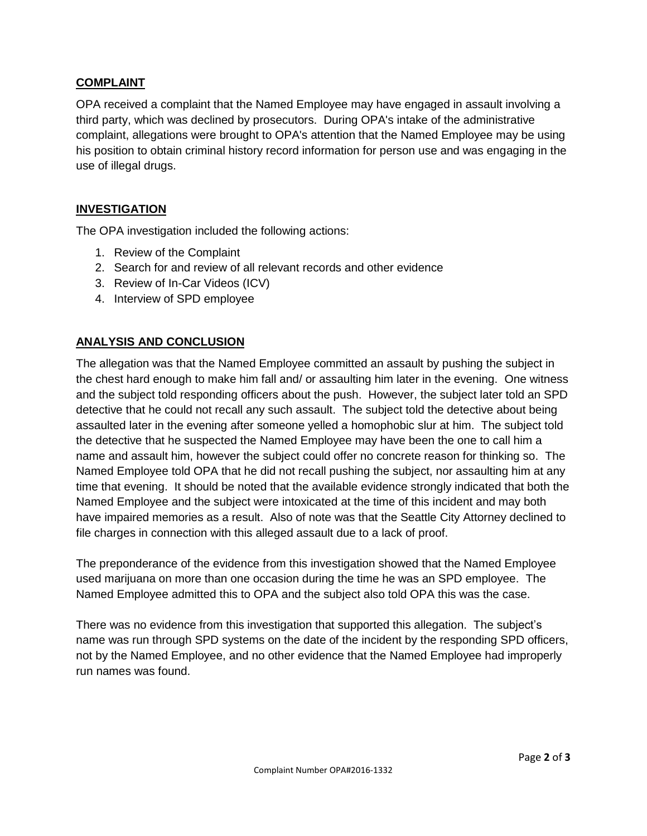### **COMPLAINT**

OPA received a complaint that the Named Employee may have engaged in assault involving a third party, which was declined by prosecutors. During OPA's intake of the administrative complaint, allegations were brought to OPA's attention that the Named Employee may be using his position to obtain criminal history record information for person use and was engaging in the use of illegal drugs.

### **INVESTIGATION**

The OPA investigation included the following actions:

- 1. Review of the Complaint
- 2. Search for and review of all relevant records and other evidence
- 3. Review of In-Car Videos (ICV)
- 4. Interview of SPD employee

### **ANALYSIS AND CONCLUSION**

The allegation was that the Named Employee committed an assault by pushing the subject in the chest hard enough to make him fall and/ or assaulting him later in the evening. One witness and the subject told responding officers about the push. However, the subject later told an SPD detective that he could not recall any such assault. The subject told the detective about being assaulted later in the evening after someone yelled a homophobic slur at him. The subject told the detective that he suspected the Named Employee may have been the one to call him a name and assault him, however the subject could offer no concrete reason for thinking so. The Named Employee told OPA that he did not recall pushing the subject, nor assaulting him at any time that evening. It should be noted that the available evidence strongly indicated that both the Named Employee and the subject were intoxicated at the time of this incident and may both have impaired memories as a result. Also of note was that the Seattle City Attorney declined to file charges in connection with this alleged assault due to a lack of proof.

The preponderance of the evidence from this investigation showed that the Named Employee used marijuana on more than one occasion during the time he was an SPD employee. The Named Employee admitted this to OPA and the subject also told OPA this was the case.

There was no evidence from this investigation that supported this allegation. The subject's name was run through SPD systems on the date of the incident by the responding SPD officers, not by the Named Employee, and no other evidence that the Named Employee had improperly run names was found.